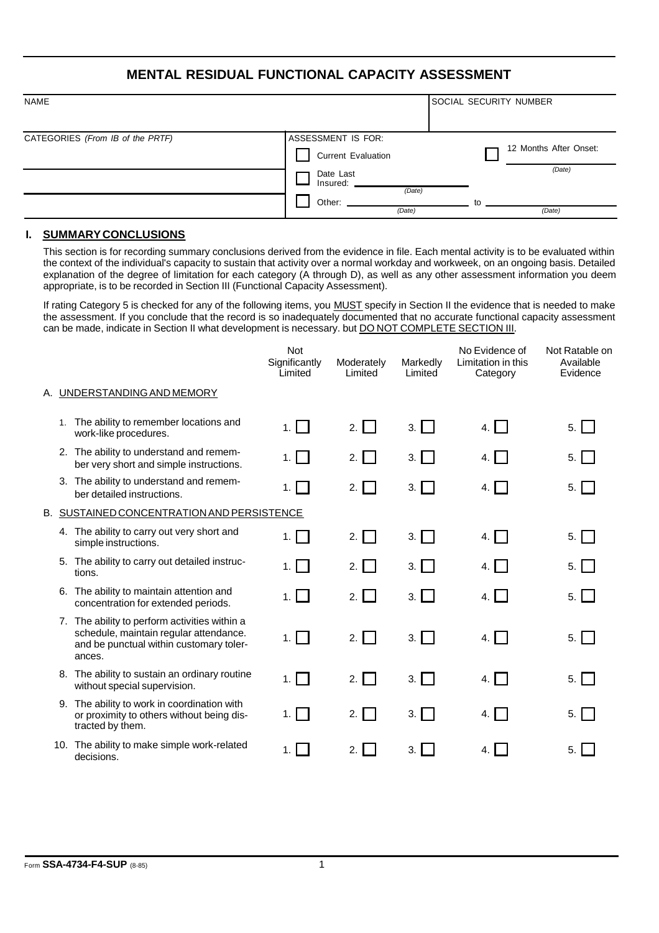## **MENTAL RESIDUAL FUNCTIONAL CAPACITY ASSESSMENT**

| <b>NAME</b>                      |                                 | <b>SOCIAL SECURITY NUMBER</b> |
|----------------------------------|---------------------------------|-------------------------------|
| CATEGORIES (From IB of the PRTF) | ASSESSMENT IS FOR:              |                               |
|                                  | <b>Current Evaluation</b>       | 12 Months After Onset:        |
|                                  | Date Last<br>Insured:<br>(Date) | (Date)                        |
|                                  | Other:<br>(Date)                | tΩ<br>(Date)                  |

## **I. SUMMARY CONCLUSIONS**

This section is for recording summary conclusions derived from the evidence in file. Each mental activity is to be evaluated within the context of the individual's capacity to sustain that activity over a normal workday and workweek, on an ongoing basis. Detailed explanation of the degree of limitation for each category (A through D), as well as any other assessment information you deem appropriate, is to be recorded in Section III (Functional Capacity Assessment).

If rating Category 5 is checked for any of the following items, you MUST specify in Section II the evidence that is needed to make the assessment. If you conclude that the record is so inadequately documented that no accurate functional capacity assessment can be made, indicate in Section II what development is necessary. but **DO NOT COMPLETE SECTION III**.

|    |                                                                                                                                              | <b>Not</b><br>Significantly<br>Limited | Moderately<br>Limited | Markedly<br>Limited        | No Evidence of<br>Limitation in this<br>Category | Not Ratable on<br>Available<br>Evidence |  |  |  |
|----|----------------------------------------------------------------------------------------------------------------------------------------------|----------------------------------------|-----------------------|----------------------------|--------------------------------------------------|-----------------------------------------|--|--|--|
|    | A. UNDERSTANDING AND MEMORY                                                                                                                  |                                        |                       |                            |                                                  |                                         |  |  |  |
| 1. | The ability to remember locations and<br>work-like procedures.                                                                               | 1. $\Box$                              | 2. $\Box$             | $3.$ $\Box$                | 4.                                               | 5.                                      |  |  |  |
|    | 2. The ability to understand and remem-<br>ber very short and simple instructions.                                                           | 1. $\Box$                              | 2. $\Box$             | $3.$                       | 4.1 <sub>1</sub>                                 | $5.  $ ]                                |  |  |  |
|    | 3. The ability to understand and remem-<br>ber detailed instructions.                                                                        | $1.1-1$                                | 2.1                   | 3.1 <sub>1</sub>           | 4. I I                                           | $5.$                                    |  |  |  |
|    | B. SUSTAINED CONCENTRATION AND PERSISTENCE                                                                                                   |                                        |                       |                            |                                                  |                                         |  |  |  |
|    | 4. The ability to carry out very short and<br>simple instructions.                                                                           | 1.                                     | 2. $\Box$             | 3.                         | $4. \Box$                                        | 5.                                      |  |  |  |
|    | 5. The ability to carry out detailed instruc-<br>tions.                                                                                      | 1.                                     | 2.1                   | 3.1 <sub>1</sub>           | 4.1                                              | $5.1$ ]                                 |  |  |  |
| 6. | The ability to maintain attention and<br>concentration for extended periods.                                                                 | 1. $\Box$                              | 2. $\Box$             | 3.1 <sub>1</sub>           | 4. $\vert$ 1                                     | 5. $\Box$                               |  |  |  |
|    | 7. The ability to perform activities within a<br>schedule, maintain regular attendance.<br>and be punctual within customary toler-<br>ances. | 1. $\Box$                              | 2. $\Box$             | $3. \lfloor \cdot \rfloor$ | 4. $\vert \bar{} \vert$                          | 5. $\Box$                               |  |  |  |
|    | 8. The ability to sustain an ordinary routine<br>without special supervision.                                                                | 1. $\Box$                              | 2.                    | 3.1 <sub>1</sub>           | 4. $\vert$ 1                                     | 5.1                                     |  |  |  |
| 9. | The ability to work in coordination with<br>or proximity to others without being dis-<br>tracted by them.                                    | 1.                                     | 2.<br>$\mathbf{1}$    | 3.                         | 4. I I                                           | 5.                                      |  |  |  |
|    | 10. The ability to make simple work-related<br>decisions.                                                                                    |                                        | 2.                    | 3.                         | 4.                                               | 5.1                                     |  |  |  |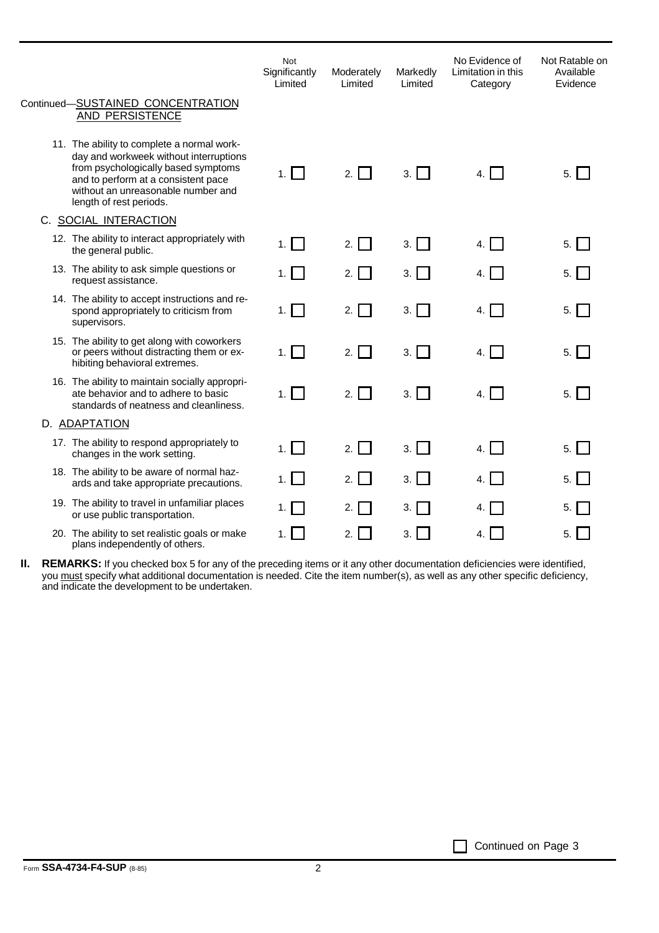|                                                                                                                                                                                                                                     | Not<br>Significantly<br>Limited | Moderately<br>Limited | Markedly<br>Limited | No Evidence of<br>Limitation in this<br>Category | Not Ratable on<br>Available<br>Evidence |
|-------------------------------------------------------------------------------------------------------------------------------------------------------------------------------------------------------------------------------------|---------------------------------|-----------------------|---------------------|--------------------------------------------------|-----------------------------------------|
| Continued-SUSTAINED CONCENTRATION<br>AND PERSISTENCE                                                                                                                                                                                |                                 |                       |                     |                                                  |                                         |
| 11. The ability to complete a normal work-<br>day and workweek without interruptions<br>from psychologically based symptoms<br>and to perform at a consistent pace<br>without an unreasonable number and<br>length of rest periods. | 1. $\Box$                       | 2.1                   | $3. \Box$           | 4.1                                              | 5.                                      |
| C. SOCIAL INTERACTION                                                                                                                                                                                                               |                                 |                       |                     |                                                  |                                         |
| 12. The ability to interact appropriately with<br>the general public.                                                                                                                                                               | 1. $\Box$                       | 2.1                   | 3.                  | 4.1                                              | 5.1                                     |
| 13. The ability to ask simple questions or<br>request assistance.                                                                                                                                                                   | $1. \vert$                      | 2.1<br>$\blacksquare$ | $3.$                | 4.                                               | $5.$ $\Box$                             |
| 14. The ability to accept instructions and re-<br>spond appropriately to criticism from<br>supervisors.                                                                                                                             | 1. $\Box$                       | 2.1                   | $3. \Box$           | 4. $\vert$ 1                                     | $5.$                                    |
| 15. The ability to get along with coworkers<br>or peers without distracting them or ex-<br>hibiting behavioral extremes.                                                                                                            | 1. $\Box$                       | 2. $\Box$             | $3. \Box$           | 4.1                                              | $5.$                                    |
| 16. The ability to maintain socially appropri-<br>ate behavior and to adhere to basic<br>standards of neatness and cleanliness.                                                                                                     | 1. $\vert \ \vert$              | $\blacksquare$<br>2.  | 3.1 <sub>1</sub>    | 4.1 <sub>1</sub>                                 | 5.1                                     |
| D. ADAPTATION                                                                                                                                                                                                                       |                                 |                       |                     |                                                  |                                         |
| 17. The ability to respond appropriately to<br>changes in the work setting.                                                                                                                                                         | $1. \Box$                       | 2. $\Box$             | $3.$ $\Box$         | 4. $\vert$ $\vert$                               | $5.$                                    |
| 18. The ability to be aware of normal haz-<br>ards and take appropriate precautions.                                                                                                                                                | 1.1                             | 2.1                   | $3. \Box$           | 4                                                | 5.1                                     |
| 19. The ability to travel in unfamiliar places<br>or use public transportation.                                                                                                                                                     | 1. $\Box$                       | 2.1                   | $3.$ $\Box$         | 4.                                               | 5.1                                     |
| 20. The ability to set realistic goals or make<br>plans independently of others.                                                                                                                                                    | 1.1                             | 2.                    | 3.1                 |                                                  | 5.                                      |

**REMARKS:** If you checked box 5 for any of the preceding items or it any other documentation deficiencies were identified, you <u>must</u> specify what additional documentation is needed. Cite the item number(s), as well as any other specific deficiency, and indicate the development to be undertaken. **II.**

Continued on Page 3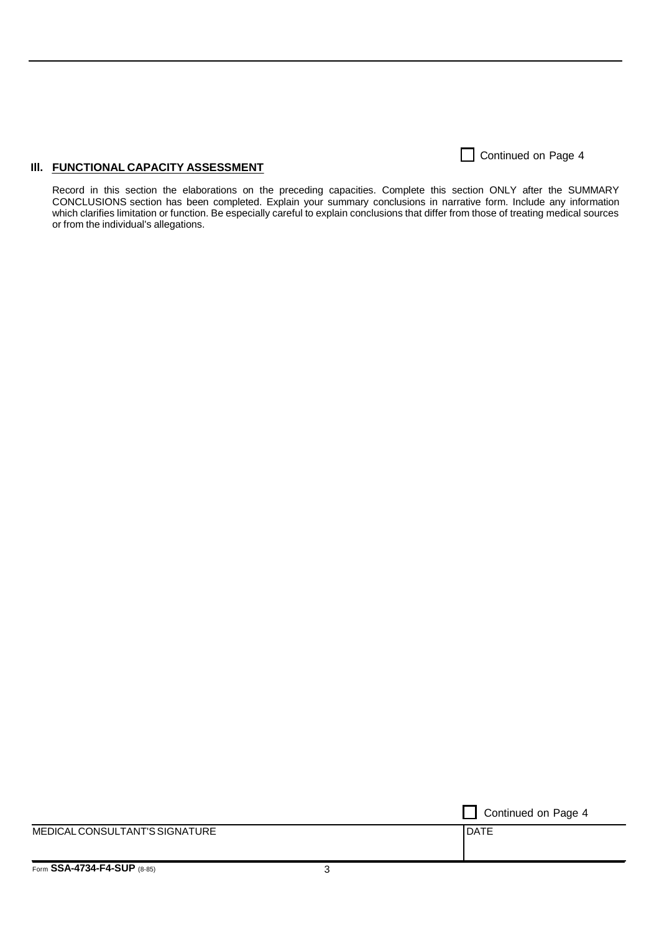**III. FUNCTIONAL CAPACITY ASSESSMENT** 

Continued on Page 4

Record in this section the elaborations on the preceding capacities. Complete this section ONLY after the SUMMARY CONCLUSIONS section has been completed. Explain your summary conclusions in narrative form. Include any information which clarifies limitation or function. Be especially careful to explain conclusions that differ from those of treating medical sources or from the individual's allegations.

Continued on Page 4 MEDICAL CONSULTANT'S SIGNATURE **DATE**